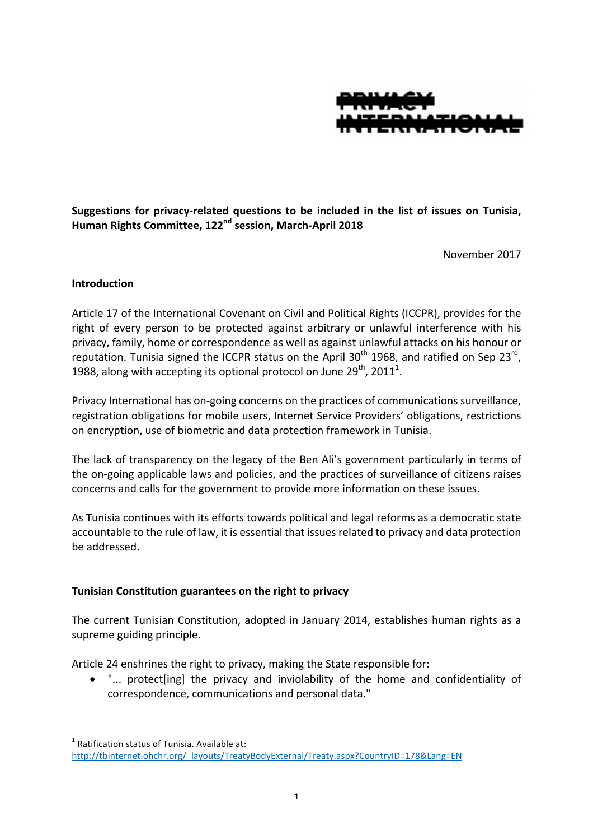

Suggestions for privacy-related questions to be included in the list of issues on Tunisia, **Human Rights Committee, 122nd session, March-April 2018**

November 2017

#### **Introduction**

Article 17 of the International Covenant on Civil and Political Rights (ICCPR), provides for the right of every person to be protected against arbitrary or unlawful interference with his privacy, family, home or correspondence as well as against unlawful attacks on his honour or reputation. Tunisia signed the ICCPR status on the April 30<sup>th</sup> 1968, and ratified on Sep 23<sup>rd</sup>, 1988, along with accepting its optional protocol on June 29<sup>th</sup>, 2011<sup>1</sup>.

Privacy International has on-going concerns on the practices of communications surveillance, registration obligations for mobile users, Internet Service Providers' obligations, restrictions on encryption, use of biometric and data protection framework in Tunisia.

The lack of transparency on the legacy of the Ben Ali's government particularly in terms of the on-going applicable laws and policies, and the practices of surveillance of citizens raises concerns and calls for the government to provide more information on these issues.

As Tunisia continues with its efforts towards political and legal reforms as a democratic state accountable to the rule of law, it is essential that issues related to privacy and data protection be addressed.

## **Tunisian Constitution guarantees on the right to privacy**

The current Tunisian Constitution, adopted in January 2014, establishes human rights as a supreme guiding principle.

Article 24 enshrines the right to privacy, making the State responsible for:

• "... protect [ing] the privacy and inviolability of the home and confidentiality of correspondence, communications and personal data."

 $1$  Ratification status of Tunisia. Available at: http://tbinternet.ohchr.org/\_layouts/TreatyBodyExternal/Treaty.aspx?CountryID=178&Lang=EN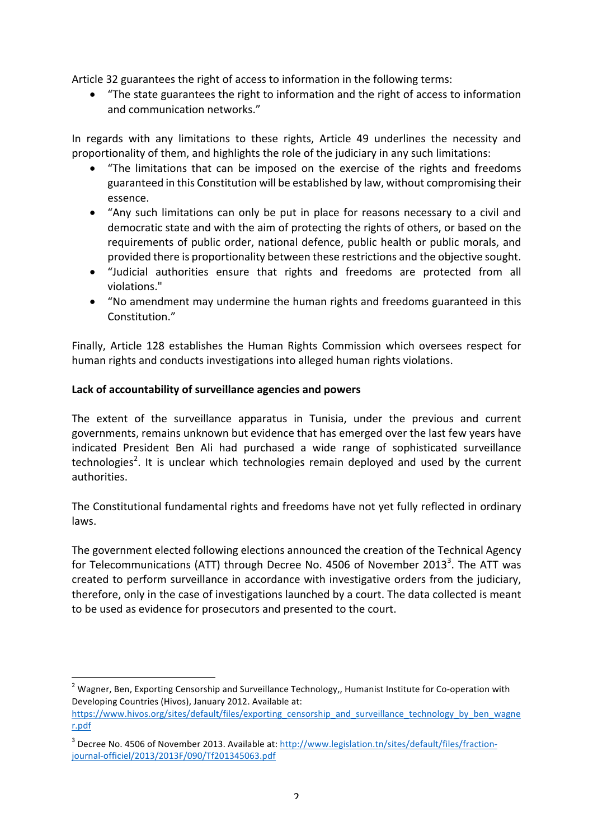Article 32 guarantees the right of access to information in the following terms:

• "The state guarantees the right to information and the right of access to information and communication networks."

In regards with any limitations to these rights, Article 49 underlines the necessity and proportionality of them, and highlights the role of the judiciary in any such limitations:

- "The limitations that can be imposed on the exercise of the rights and freedoms guaranteed in this Constitution will be established by law, without compromising their essence.
- "Any such limitations can only be put in place for reasons necessary to a civil and democratic state and with the aim of protecting the rights of others, or based on the requirements of public order, national defence, public health or public morals, and provided there is proportionality between these restrictions and the objective sought.
- "Judicial authorities ensure that rights and freedoms are protected from all violations."
- "No amendment may undermine the human rights and freedoms guaranteed in this Constitution<sup>"</sup>

Finally, Article 128 establishes the Human Rights Commission which oversees respect for human rights and conducts investigations into alleged human rights violations.

## Lack of accountability of surveillance agencies and powers

The extent of the surveillance apparatus in Tunisia, under the previous and current governments, remains unknown but evidence that has emerged over the last few vears have indicated President Ben Ali had purchased a wide range of sophisticated surveillance technologies<sup>2</sup>. It is unclear which technologies remain deployed and used by the current authorities.

The Constitutional fundamental rights and freedoms have not yet fully reflected in ordinary laws.

The government elected following elections announced the creation of the Technical Agency for Telecommunications (ATT) through Decree No. 4506 of November 2013<sup>3</sup>. The ATT was created to perform surveillance in accordance with investigative orders from the judiciary, therefore, only in the case of investigations launched by a court. The data collected is meant to be used as evidence for prosecutors and presented to the court.

 $2$  Wagner, Ben, Exporting Censorship and Surveillance Technology,, Humanist Institute for Co-operation with Developing Countries (Hivos), January 2012. Available at:

https://www.hivos.org/sites/default/files/exporting\_censorship\_and\_surveillance\_technology\_by\_ben\_wagne r.pdf

<sup>&</sup>lt;sup>3</sup> Decree No. 4506 of November 2013. Available at: http://www.legislation.tn/sites/default/files/fractionjournal-officiel/2013/2013F/090/Tf201345063.pdf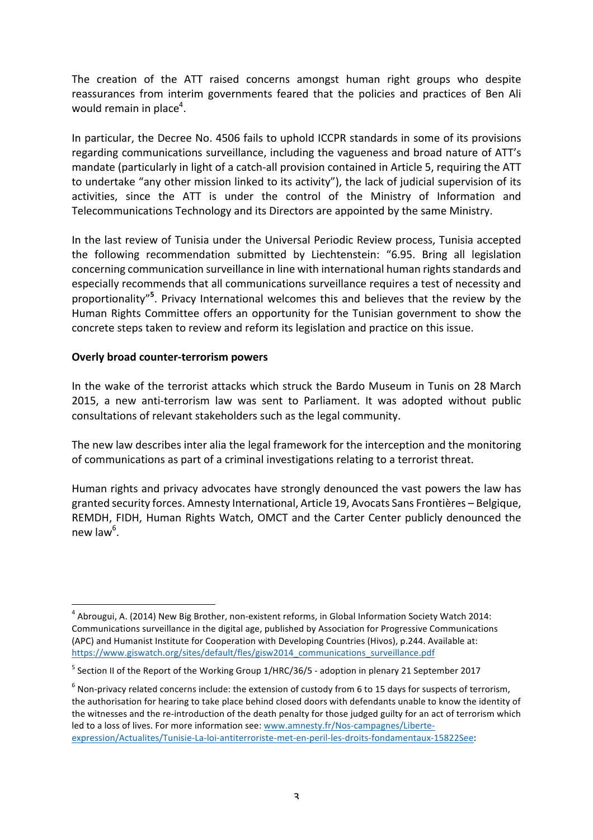The creation of the ATT raised concerns amongst human right groups who despite reassurances from interim governments feared that the policies and practices of Ben Ali would remain in place<sup>4</sup>.

In particular, the Decree No. 4506 fails to uphold ICCPR standards in some of its provisions regarding communications surveillance, including the vagueness and broad nature of ATT's mandate (particularly in light of a catch-all provision contained in Article 5, requiring the ATT to undertake "any other mission linked to its activity"), the lack of judicial supervision of its activities, since the ATT is under the control of the Ministry of Information and Telecommunications Technology and its Directors are appointed by the same Ministry.

In the last review of Tunisia under the Universal Periodic Review process, Tunisia accepted the following recommendation submitted by Liechtenstein: "6.95. Bring all legislation concerning communication surveillance in line with international human rights standards and especially recommends that all communications surveillance requires a test of necessity and proportionality"<sup>5</sup>. Privacy International welcomes this and believes that the review by the Human Rights Committee offers an opportunity for the Tunisian government to show the concrete steps taken to review and reform its legislation and practice on this issue.

### **Overly broad counter-terrorism powers**

In the wake of the terrorist attacks which struck the Bardo Museum in Tunis on 28 March 2015, a new anti-terrorism law was sent to Parliament. It was adopted without public consultations of relevant stakeholders such as the legal community.

The new law describes inter alia the legal framework for the interception and the monitoring of communications as part of a criminal investigations relating to a terrorist threat.

Human rights and privacy advocates have strongly denounced the vast powers the law has granted security forces. Amnesty International, Article 19, Avocats Sans Frontières – Belgique, REMDH, FIDH, Human Rights Watch, OMCT and the Carter Center publicly denounced the new law $^6$ .

 $4$  Abrougui, A. (2014) New Big Brother, non-existent reforms, in Global Information Society Watch 2014: Communications surveillance in the digital age, published by Association for Progressive Communications (APC) and Humanist Institute for Cooperation with Developing Countries (Hivos), p.244. Available at: https://www.giswatch.org/sites/default/fles/gisw2014\_communications\_surveillance.pdf

 $<sup>5</sup>$  Section II of the Report of the Working Group 1/HRC/36/5 - adoption in plenary 21 September 2017</sup>

 $6$  Non-privacy related concerns include: the extension of custody from 6 to 15 days for suspects of terrorism, the authorisation for hearing to take place behind closed doors with defendants unable to know the identity of the witnesses and the re-introduction of the death penalty for those judged guilty for an act of terrorism which led to a loss of lives. For more information see: www.amnesty.fr/Nos-campagnes/Liberteexpression/Actualites/Tunisie-La-loi-antiterroriste-met-en-peril-les-droits-fondamentaux-15822See: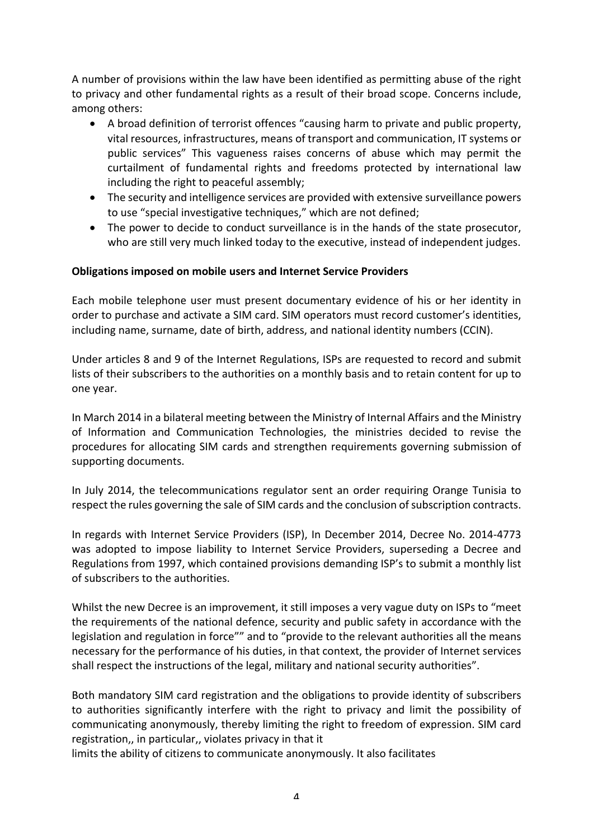A number of provisions within the law have been identified as permitting abuse of the right to privacy and other fundamental rights as a result of their broad scope. Concerns include, among others:

- A broad definition of terrorist offences "causing harm to private and public property, vital resources, infrastructures, means of transport and communication, IT systems or public services" This vagueness raises concerns of abuse which may permit the curtailment of fundamental rights and freedoms protected by international law including the right to peaceful assembly;
- The security and intelligence services are provided with extensive surveillance powers to use "special investigative techniques," which are not defined;
- The power to decide to conduct surveillance is in the hands of the state prosecutor, who are still very much linked today to the executive, instead of independent judges.

### **Obligations imposed on mobile users and Internet Service Providers**

Each mobile telephone user must present documentary evidence of his or her identity in order to purchase and activate a SIM card. SIM operators must record customer's identities, including name, surname, date of birth, address, and national identity numbers (CCIN).

Under articles 8 and 9 of the Internet Regulations, ISPs are requested to record and submit lists of their subscribers to the authorities on a monthly basis and to retain content for up to one vear.

In March 2014 in a bilateral meeting between the Ministry of Internal Affairs and the Ministry of Information and Communication Technologies, the ministries decided to revise the procedures for allocating SIM cards and strengthen requirements governing submission of supporting documents.

In July 2014, the telecommunications regulator sent an order requiring Orange Tunisia to respect the rules governing the sale of SIM cards and the conclusion of subscription contracts.

In regards with Internet Service Providers (ISP), In December 2014, Decree No. 2014-4773 was adopted to impose liability to Internet Service Providers, superseding a Decree and Regulations from 1997, which contained provisions demanding ISP's to submit a monthly list of subscribers to the authorities.

Whilst the new Decree is an improvement, it still imposes a very vague duty on ISPs to "meet the requirements of the national defence, security and public safety in accordance with the legislation and regulation in force"" and to "provide to the relevant authorities all the means necessary for the performance of his duties, in that context, the provider of Internet services shall respect the instructions of the legal, military and national security authorities".

Both mandatory SIM card registration and the obligations to provide identity of subscribers to authorities significantly interfere with the right to privacy and limit the possibility of communicating anonymously, thereby limiting the right to freedom of expression. SIM card registration,, in particular,, violates privacy in that it

limits the ability of citizens to communicate anonymously. It also facilitates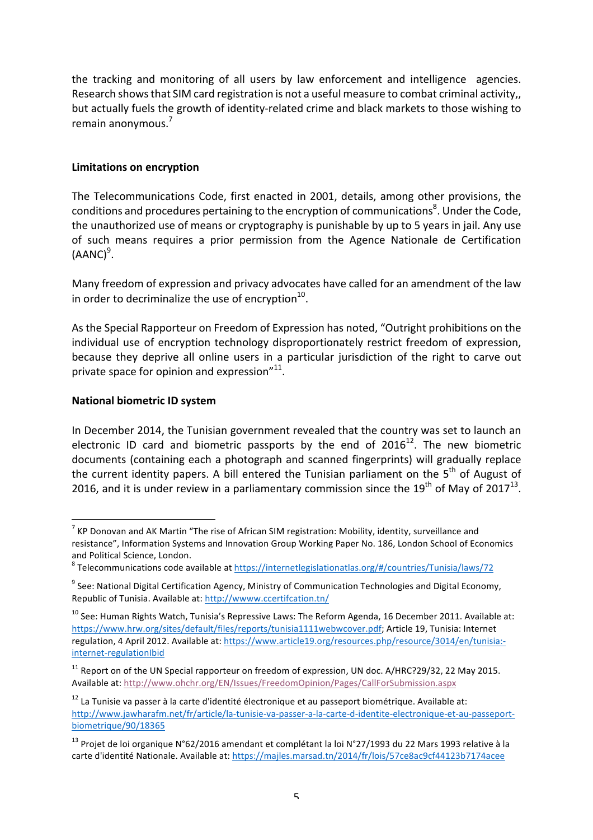the tracking and monitoring of all users by law enforcement and intelligence agencies. Research shows that SIM card registration is not a useful measure to combat criminal activity,, but actually fuels the growth of identity-related crime and black markets to those wishing to remain anonymous. $<sup>7</sup>$ </sup>

### **Limitations on encryption**

The Telecommunications Code, first enacted in 2001, details, among other provisions, the conditions and procedures pertaining to the encryption of communications ${}^{8}$ . Under the Code, the unauthorized use of means or cryptography is punishable by up to 5 years in jail. Any use of such means requires a prior permission from the Agence Nationale de Certification  $(AANC)^9$ .

Many freedom of expression and privacy advocates have called for an amendment of the law in order to decriminalize the use of encryption $^{10}$ .

As the Special Rapporteur on Freedom of Expression has noted, "Outright prohibitions on the individual use of encryption technology disproportionately restrict freedom of expression, because they deprive all online users in a particular jurisdiction of the right to carve out private space for opinion and expression $"^{11}$ .

### **National biometric ID system**

In December 2014, the Tunisian government revealed that the country was set to launch an electronic ID card and biometric passports by the end of  $2016^{12}$ . The new biometric documents (containing each a photograph and scanned fingerprints) will gradually replace the current identity papers. A bill entered the Tunisian parliament on the  $5<sup>th</sup>$  of August of 2016, and it is under review in a parliamentary commission since the  $19^{th}$  of May of  $2017^{13}$ .

 $7$  KP Donovan and AK Martin "The rise of African SIM registration: Mobility, identity, surveillance and resistance", Information Systems and Innovation Group Working Paper No. 186, London School of Economics and Political Science, London.<br><sup>8</sup> Telecommunications code available at https://internetlegislationatlas.org/#/countries/Tunisia/laws/72

 $9$  See: National Digital Certification Agency, Ministry of Communication Technologies and Digital Economy, Republic of Tunisia. Available at: http://wwww.ccertifcation.tn/

 $10$  See: Human Rights Watch, Tunisia's Repressive Laws: The Reform Agenda, 16 December 2011. Available at: https://www.hrw.org/sites/default/files/reports/tunisia11111webwcover.pdf; Article 19, Tunisia: Internet regulation, 4 April 2012. Available at: https://www.article19.org/resources.php/resource/3014/en/tunisia:internet-regulationIbid

 $11$  Report on of the UN Special rapporteur on freedom of expression, UN doc. A/HRC?29/32, 22 May 2015. Available at: http://www.ohchr.org/EN/Issues/FreedomOpinion/Pages/CallForSubmission.aspx

 $12$  La Tunisie va passer à la carte d'identité électronique et au passeport biométrique. Available at: http://www.jawharafm.net/fr/article/la-tunisie-va-passer-a-la-carte-d-identite-electronique-et-au-passeportbiometrique/90/18365

<sup>&</sup>lt;sup>13</sup> Projet de loi organique N°62/2016 amendant et complétant la loi N°27/1993 du 22 Mars 1993 relative à la carte d'identité Nationale. Available at: https://majles.marsad.tn/2014/fr/lois/57ce8ac9cf44123b7174acee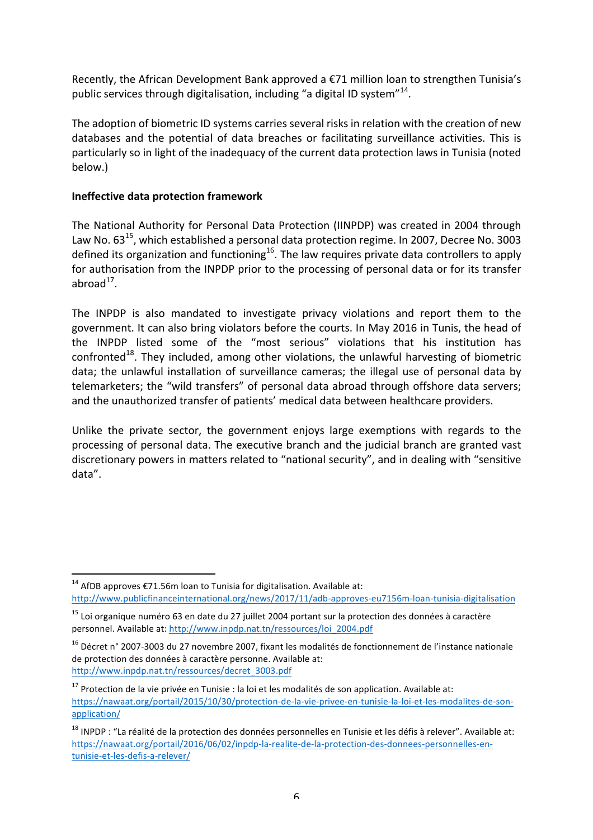Recently, the African Development Bank approved a  $E$ 71 million loan to strengthen Tunisia's public services through digitalisation, including "a digital ID system"<sup>14</sup>.

The adoption of biometric ID systems carries several risks in relation with the creation of new databases and the potential of data breaches or facilitating surveillance activities. This is particularly so in light of the inadequacy of the current data protection laws in Tunisia (noted below.)

## **Ineffective data protection framework**

The National Authority for Personal Data Protection (IINPDP) was created in 2004 through Law No.  $63^{15}$ , which established a personal data protection regime. In 2007, Decree No. 3003 defined its organization and functioning<sup>16</sup>. The law requires private data controllers to apply for authorisation from the INPDP prior to the processing of personal data or for its transfer  $abroad<sup>17</sup>$ .

The INPDP is also mandated to investigate privacy violations and report them to the government. It can also bring violators before the courts. In May 2016 in Tunis, the head of the INPDP listed some of the "most serious" violations that his institution has confronted<sup>18</sup>. They included, among other violations, the unlawful harvesting of biometric data; the unlawful installation of surveillance cameras; the illegal use of personal data by telemarketers; the "wild transfers" of personal data abroad through offshore data servers; and the unauthorized transfer of patients' medical data between healthcare providers.

Unlike the private sector, the government enjoys large exemptions with regards to the processing of personal data. The executive branch and the judicial branch are granted vast discretionary powers in matters related to "national security", and in dealing with "sensitive data".

 $14$  AfDB approves  $\epsilon$ 71.56m loan to Tunisia for digitalisation. Available at: http://www.publicfinanceinternational.org/news/2017/11/adb-approves-eu7156m-loan-tunisia-digitalisation

 $15$  Loi organique numéro 63 en date du 27 juillet 2004 portant sur la protection des données à caractère personnel. Available at: http://www.inpdp.nat.tn/ressources/loi\_2004.pdf

 $16$  Décret n° 2007-3003 du 27 novembre 2007, fixant les modalités de fonctionnement de l'instance nationale de protection des données à caractère personne. Available at: http://www.inpdp.nat.tn/ressources/decret\_3003.pdf

 $17$  Protection de la vie privée en Tunisie : la loi et les modalités de son application. Available at: https://nawaat.org/portail/2015/10/30/protection-de-la-vie-privee-en-tunisie-la-loi-et-les-modalites-de-sonapplication/

 $18$  INPDP : "La réalité de la protection des données personnelles en Tunisie et les défis à relever". Available at: https://nawaat.org/portail/2016/06/02/inpdp-la-realite-de-la-protection-des-donnees-personnelles-entunisie-et-les-defis-a-relever/